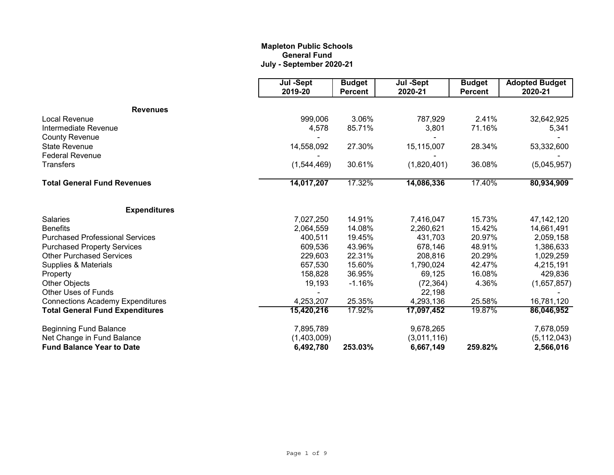# **Mapleton Public Schools General Fund July - September 2020-21**

|                                         | Jul -Sept<br>2019-20 | <b>Budget</b><br><b>Percent</b> | Jul -Sept<br>2020-21 | <b>Budget</b><br><b>Percent</b> | <b>Adopted Budget</b><br>2020-21 |
|-----------------------------------------|----------------------|---------------------------------|----------------------|---------------------------------|----------------------------------|
| <b>Revenues</b>                         |                      |                                 |                      |                                 |                                  |
| Local Revenue                           | 999,006              | 3.06%                           | 787,929              | 2.41%                           | 32,642,925                       |
| Intermediate Revenue                    | 4,578                | 85.71%                          | 3,801                | 71.16%                          | 5,341                            |
| <b>County Revenue</b>                   |                      |                                 |                      |                                 |                                  |
| <b>State Revenue</b>                    | 14,558,092           | 27.30%                          | 15,115,007           | 28.34%                          | 53,332,600                       |
| <b>Federal Revenue</b>                  |                      |                                 |                      |                                 |                                  |
| <b>Transfers</b>                        | (1,544,469)          | 30.61%                          | (1,820,401)          | 36.08%                          | (5,045,957)                      |
| <b>Total General Fund Revenues</b>      | 14,017,207           | 17.32%                          | 14,086,336           | 17.40%                          | 80,934,909                       |
| <b>Expenditures</b>                     |                      |                                 |                      |                                 |                                  |
| <b>Salaries</b>                         | 7,027,250            | 14.91%                          | 7,416,047            | 15.73%                          | 47, 142, 120                     |
| <b>Benefits</b>                         | 2,064,559            | 14.08%                          | 2,260,621            | 15.42%                          | 14,661,491                       |
| <b>Purchased Professional Services</b>  | 400,511              | 19.45%                          | 431,703              | 20.97%                          | 2,059,158                        |
| <b>Purchased Property Services</b>      | 609,536              | 43.96%                          | 678,146              | 48.91%                          | 1,386,633                        |
| <b>Other Purchased Services</b>         | 229,603              | 22.31%                          | 208,816              | 20.29%                          | 1,029,259                        |
| Supplies & Materials                    | 657,530              | 15.60%                          | 1,790,024            | 42.47%                          | 4,215,191                        |
| Property                                | 158,828              | 36.95%                          | 69,125               | 16.08%                          | 429,836                          |
| Other Objects                           | 19,193               | $-1.16%$                        | (72, 364)            | 4.36%                           | (1,657,857)                      |
| Other Uses of Funds                     |                      |                                 | 22,198               |                                 |                                  |
| <b>Connections Academy Expenditures</b> | 4,253,207            | 25.35%                          | 4,293,136            | 25.58%                          | 16,781,120                       |
| <b>Total General Fund Expenditures</b>  | 15,420,216           | 17.92%                          | 17,097,452           | 19.87%                          | 86,046,952                       |
| <b>Beginning Fund Balance</b>           | 7,895,789            |                                 | 9,678,265            |                                 | 7,678,059                        |
| Net Change in Fund Balance              | (1,403,009)          |                                 | (3,011,116)          |                                 | (5, 112, 043)                    |
| <b>Fund Balance Year to Date</b>        | 6,492,780            | 253.03%                         | 6,667,149            | 259.82%                         | 2,566,016                        |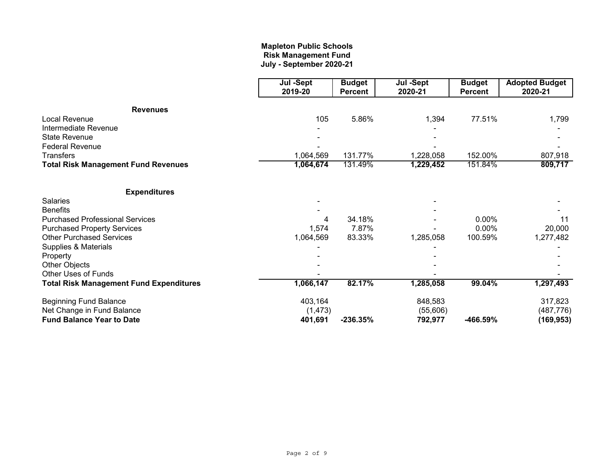# **July - September 2020-21 Mapleton Public Schools Risk Management Fund**

|                                                | Jul -Sept<br>2019-20 | <b>Budget</b><br><b>Percent</b> | Jul -Sept<br>2020-21 | <b>Budget</b>  | <b>Adopted Budget</b><br>2020-21 |
|------------------------------------------------|----------------------|---------------------------------|----------------------|----------------|----------------------------------|
|                                                |                      |                                 |                      | <b>Percent</b> |                                  |
| <b>Revenues</b>                                |                      |                                 |                      |                |                                  |
| Local Revenue                                  | 105                  | 5.86%                           | 1,394                | 77.51%         | 1,799                            |
| Intermediate Revenue                           |                      |                                 |                      |                |                                  |
| <b>State Revenue</b>                           |                      |                                 |                      |                |                                  |
| <b>Federal Revenue</b>                         |                      |                                 |                      |                |                                  |
| <b>Transfers</b>                               | 1,064,569            | 131.77%                         | 1,228,058            | 152.00%        | 807,918                          |
| <b>Total Risk Management Fund Revenues</b>     | 1,064,674            | 131.49%                         | 1,229,452            | 151.84%        | 809,717                          |
| <b>Expenditures</b>                            |                      |                                 |                      |                |                                  |
| <b>Salaries</b>                                |                      |                                 |                      |                |                                  |
| <b>Benefits</b>                                |                      |                                 |                      |                |                                  |
| <b>Purchased Professional Services</b>         |                      | 34.18%                          |                      | 0.00%          | 11                               |
| <b>Purchased Property Services</b>             | 1,574                | 7.87%                           |                      | 0.00%          | 20,000                           |
| <b>Other Purchased Services</b>                | 1,064,569            | 83.33%                          | 1,285,058            | 100.59%        | 1,277,482                        |
| Supplies & Materials                           |                      |                                 |                      |                |                                  |
| Property                                       |                      |                                 |                      |                |                                  |
| <b>Other Objects</b>                           |                      |                                 |                      |                |                                  |
| Other Uses of Funds                            |                      |                                 |                      |                |                                  |
| <b>Total Risk Management Fund Expenditures</b> | 1,066,147            | 82.17%                          | 1,285,058            | 99.04%         | 1,297,493                        |
| <b>Beginning Fund Balance</b>                  | 403,164              |                                 | 848,583              |                | 317,823                          |
| Net Change in Fund Balance                     | (1, 473)             |                                 | (55,606)             |                | (487, 776)                       |
| <b>Fund Balance Year to Date</b>               | 401,691              | $-236.35%$                      | 792,977              | -466.59%       | (169, 953)                       |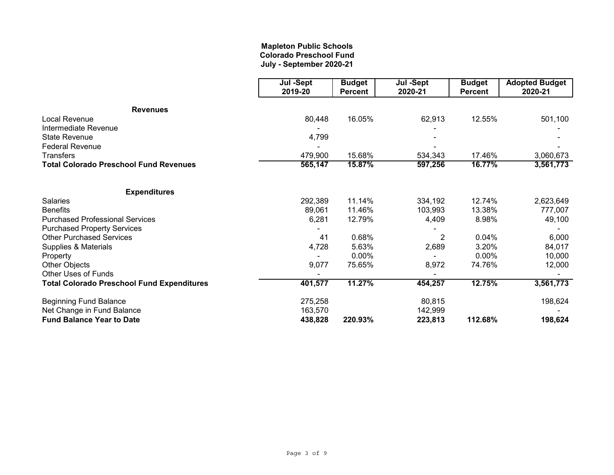# **Mapleton Public Schools Colorado Preschool Fund July - September 2020-21**

|                                                   | Jul -Sept | <b>Budget</b>  | Jul -Sept      | <b>Budget</b>  | <b>Adopted Budget</b> |
|---------------------------------------------------|-----------|----------------|----------------|----------------|-----------------------|
|                                                   | 2019-20   | <b>Percent</b> | 2020-21        | <b>Percent</b> | 2020-21               |
| <b>Revenues</b>                                   |           |                |                |                |                       |
| Local Revenue                                     | 80,448    | 16.05%         | 62,913         | 12.55%         | 501,100               |
| Intermediate Revenue                              |           |                |                |                |                       |
| <b>State Revenue</b>                              | 4,799     |                |                |                |                       |
| <b>Federal Revenue</b>                            |           |                |                |                |                       |
| <b>Transfers</b>                                  | 479,900   | 15.68%         | 534,343        | 17.46%         | 3,060,673             |
| <b>Total Colorado Preschool Fund Revenues</b>     | 565,147   | 15.87%         | 597,256        | 16.77%         | 3,561,773             |
| <b>Expenditures</b>                               |           |                |                |                |                       |
| <b>Salaries</b>                                   | 292,389   | 11.14%         | 334,192        | 12.74%         | 2,623,649             |
| <b>Benefits</b>                                   | 89,061    | 11.46%         | 103,993        | 13.38%         | 777,007               |
| <b>Purchased Professional Services</b>            | 6,281     | 12.79%         | 4,409          | 8.98%          | 49,100                |
| <b>Purchased Property Services</b>                |           |                |                |                |                       |
| <b>Other Purchased Services</b>                   | 41        | 0.68%          | $\overline{2}$ | 0.04%          | 6,000                 |
| Supplies & Materials                              | 4,728     | 5.63%          | 2,689          | 3.20%          | 84,017                |
| Property                                          |           | $0.00\%$       |                | 0.00%          | 10,000                |
| Other Objects                                     | 9,077     | 75.65%         | 8,972          | 74.76%         | 12,000                |
| <b>Other Uses of Funds</b>                        |           |                |                |                |                       |
| <b>Total Colorado Preschool Fund Expenditures</b> | 401,577   | 11.27%         | 454,257        | 12.75%         | 3,561,773             |
| <b>Beginning Fund Balance</b>                     | 275,258   |                | 80,815         |                | 198,624               |
| Net Change in Fund Balance                        | 163,570   |                | 142,999        |                |                       |
| <b>Fund Balance Year to Date</b>                  | 438,828   | 220.93%        | 223,813        | 112.68%        | 198,624               |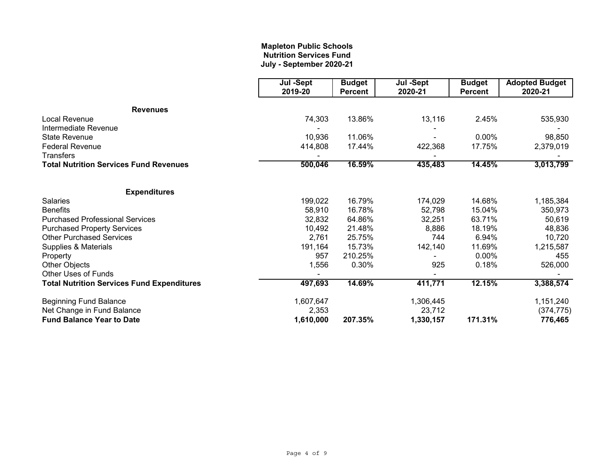# **Mapleton Public Schools Nutrition Services Fund July - September 2020-21**

|                                                   | Jul -Sept<br>2019-20         | <b>Budget</b><br><b>Percent</b> | Jul -Sept<br>2020-21 | <b>Budget</b><br><b>Percent</b> | <b>Adopted Budget</b><br>2020-21 |
|---------------------------------------------------|------------------------------|---------------------------------|----------------------|---------------------------------|----------------------------------|
| <b>Revenues</b>                                   |                              |                                 |                      |                                 |                                  |
| <b>Local Revenue</b>                              | 74,303                       | 13.86%                          | 13,116               | 2.45%                           | 535,930                          |
| Intermediate Revenue                              |                              |                                 |                      |                                 |                                  |
| <b>State Revenue</b>                              | 10,936                       | 11.06%                          |                      | 0.00%                           | 98,850                           |
| <b>Federal Revenue</b>                            | 414,808                      | 17.44%                          | 422,368              | 17.75%                          | 2,379,019                        |
| <b>Transfers</b>                                  |                              |                                 |                      |                                 |                                  |
| <b>Total Nutrition Services Fund Revenues</b>     | 500,046<br>16.59%<br>435,483 | 14.45%                          | 3,013,799            |                                 |                                  |
| <b>Expenditures</b>                               |                              |                                 |                      |                                 |                                  |
| <b>Salaries</b>                                   | 199,022                      | 16.79%                          | 174,029              | 14.68%                          | 1,185,384                        |
| <b>Benefits</b>                                   | 58,910                       | 16.78%                          | 52,798               | 15.04%                          | 350,973                          |
| <b>Purchased Professional Services</b>            | 32,832                       | 64.86%                          | 32,251               | 63.71%                          | 50,619                           |
| <b>Purchased Property Services</b>                | 10,492                       | 21.48%                          | 8,886                | 18.19%                          | 48,836                           |
| <b>Other Purchased Services</b>                   | 2,761                        | 25.75%                          | 744                  | 6.94%                           | 10,720                           |
| Supplies & Materials                              | 191,164                      | 15.73%                          | 142,140              | 11.69%                          | 1,215,587                        |
| Property                                          | 957                          | 210.25%                         |                      | 0.00%                           | 455                              |
| Other Objects                                     | 1,556                        | 0.30%                           | 925                  | 0.18%                           | 526,000                          |
| <b>Other Uses of Funds</b>                        |                              |                                 |                      |                                 |                                  |
| <b>Total Nutrition Services Fund Expenditures</b> | 497,693                      | 14.69%                          | 411,771              | 12.15%                          | 3,388,574                        |
| <b>Beginning Fund Balance</b>                     | 1,607,647                    |                                 | 1,306,445            |                                 | 1,151,240                        |
| Net Change in Fund Balance                        | 2,353                        |                                 | 23,712               |                                 | (374, 775)                       |
| <b>Fund Balance Year to Date</b>                  | 1,610,000                    | 207.35%                         | 1,330,157            | 171.31%                         | 776,465                          |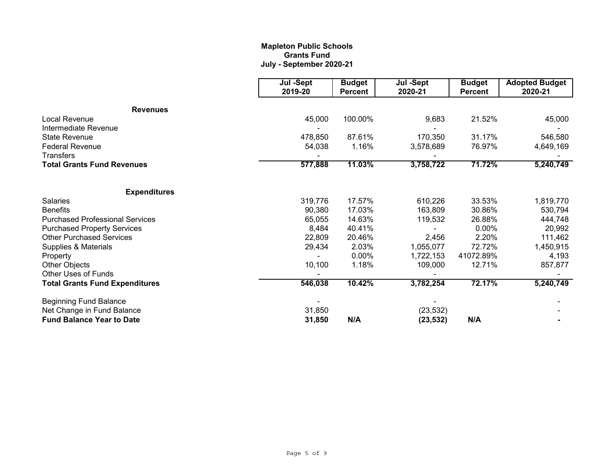# **Mapleton Public Schools Grants Fund July - September 2020-21**

|                                                                | Jul -Sept<br>2019-20           | <b>Budget</b><br><b>Percent</b> | Jul -Sept<br>2020-21   | <b>Budget</b><br><b>Percent</b> | <b>Adopted Budget</b><br>2020-21 |
|----------------------------------------------------------------|--------------------------------|---------------------------------|------------------------|---------------------------------|----------------------------------|
| <b>Revenues</b>                                                |                                |                                 |                        |                                 |                                  |
| Local Revenue                                                  | 45,000                         | 100.00%                         | 9,683                  | 21.52%                          | 45,000                           |
| Intermediate Revenue                                           |                                |                                 |                        |                                 |                                  |
| <b>State Revenue</b>                                           | 478,850                        | 87.61%                          | 170,350                | 31.17%                          | 546,580                          |
| <b>Federal Revenue</b>                                         | 54,038                         | 1.16%                           | 3,578,689              | 76.97%                          | 4,649,169                        |
| <b>Transfers</b>                                               |                                |                                 |                        |                                 |                                  |
| <b>Total Grants Fund Revenues</b>                              | 577,888<br>11.03%<br>3,758,722 | 71.72%                          | 5,240,749              |                                 |                                  |
| <b>Expenditures</b>                                            |                                |                                 |                        |                                 |                                  |
| Salaries                                                       | 319,776                        | 17.57%                          | 610,226                | 33.53%                          | 1,819,770                        |
| <b>Benefits</b>                                                | 90,380                         | 17.03%                          | 163,809                | 30.86%                          | 530,794                          |
| <b>Purchased Professional Services</b>                         | 65,055                         | 14.63%                          | 119,532                | 26.88%                          | 444,748                          |
| <b>Purchased Property Services</b>                             | 8,484                          | 40.41%                          |                        | $0.00\%$                        | 20,992                           |
| <b>Other Purchased Services</b>                                | 22,809                         | 20.46%                          | 2,456                  | 2.20%                           | 111,462                          |
| Supplies & Materials                                           | 29,434                         | 2.03%                           | 1,055,077              | 72.72%                          | 1,450,915                        |
| Property                                                       |                                | 0.00%                           | 1,722,153              | 41072.89%                       | 4,193                            |
| Other Objects                                                  | 10,100                         | 1.18%                           | 109,000                | 12.71%                          | 857,877                          |
| <b>Other Uses of Funds</b>                                     |                                |                                 |                        |                                 |                                  |
| <b>Total Grants Fund Expenditures</b>                          | 546,038                        | 10.42%                          | 3,782,254              | 72.17%                          | 5,240,749                        |
| <b>Beginning Fund Balance</b>                                  |                                |                                 |                        |                                 |                                  |
| Net Change in Fund Balance<br><b>Fund Balance Year to Date</b> | 31,850<br>31,850               | N/A                             | (23, 532)<br>(23, 532) | N/A                             |                                  |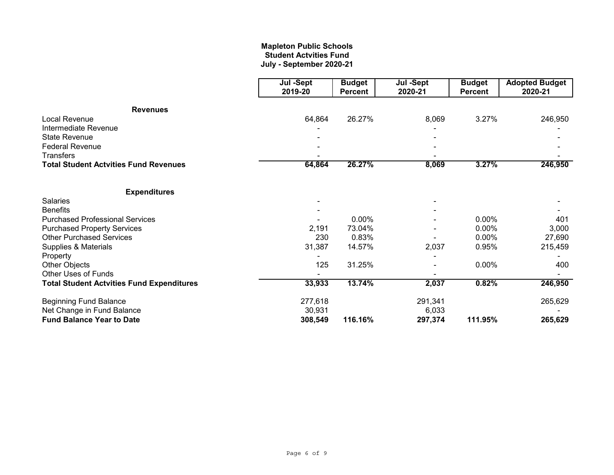# **July - September 2020-21 Mapleton Public Schools Student Actvities Fund**

|                                                  | Jul -Sept<br>2019-20 | <b>Budget</b> | Jul -Sept<br>2020-21<br><b>Percent</b> | <b>Budget</b><br><b>Percent</b> | <b>Adopted Budget</b><br>2020-21 |
|--------------------------------------------------|----------------------|---------------|----------------------------------------|---------------------------------|----------------------------------|
|                                                  |                      |               |                                        |                                 |                                  |
| <b>Revenues</b>                                  |                      |               |                                        |                                 |                                  |
| <b>Local Revenue</b>                             | 64,864               | 26.27%        | 8,069                                  | 3.27%                           | 246,950                          |
| Intermediate Revenue                             |                      |               |                                        |                                 |                                  |
| <b>State Revenue</b>                             |                      |               |                                        |                                 |                                  |
| <b>Federal Revenue</b>                           |                      |               |                                        |                                 |                                  |
| <b>Transfers</b>                                 |                      |               |                                        |                                 |                                  |
| <b>Total Student Actvities Fund Revenues</b>     | 64,864               | 26.27%        | 8,069                                  | 3.27%                           | 246,950                          |
| <b>Expenditures</b>                              |                      |               |                                        |                                 |                                  |
| <b>Salaries</b>                                  |                      |               |                                        |                                 |                                  |
| <b>Benefits</b>                                  |                      |               |                                        |                                 |                                  |
| <b>Purchased Professional Services</b>           |                      | 0.00%         |                                        | 0.00%                           | 401                              |
| <b>Purchased Property Services</b>               | 2,191                | 73.04%        |                                        | 0.00%                           | 3,000                            |
| <b>Other Purchased Services</b>                  | 230                  | 0.83%         |                                        | $0.00\%$                        | 27,690                           |
| Supplies & Materials                             | 31,387               | 14.57%        | 2,037                                  | 0.95%                           | 215,459                          |
| Property                                         |                      |               |                                        |                                 |                                  |
| Other Objects                                    | 125                  | 31.25%        |                                        | 0.00%                           | 400                              |
| <b>Other Uses of Funds</b>                       |                      |               |                                        |                                 |                                  |
| <b>Total Student Actvities Fund Expenditures</b> | 33,933               | 13.74%        | 2,037                                  | 0.82%                           | 246,950                          |
| <b>Beginning Fund Balance</b>                    | 277,618              |               | 291,341                                |                                 | 265,629                          |
| Net Change in Fund Balance                       | 30,931               |               | 6,033                                  |                                 |                                  |
| <b>Fund Balance Year to Date</b>                 | 308,549              | 116.16%       | 297,374                                | 111.95%                         | 265,629                          |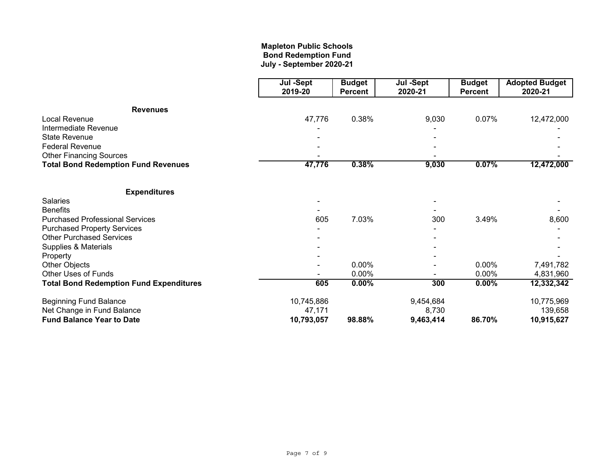# **Mapleton Public Schools Bond Redemption Fund July - September 2020-21**

|                                                | Jul -Sept  | <b>Budget</b>  | Jul -Sept | <b>Budget</b>  | <b>Adopted Budget</b> |
|------------------------------------------------|------------|----------------|-----------|----------------|-----------------------|
|                                                | 2019-20    | <b>Percent</b> | 2020-21   | <b>Percent</b> | 2020-21               |
| <b>Revenues</b>                                |            |                |           |                |                       |
| Local Revenue                                  | 47,776     | 0.38%          | 9,030     | 0.07%          | 12,472,000            |
| Intermediate Revenue                           |            |                |           |                |                       |
| <b>State Revenue</b>                           |            |                |           |                |                       |
| <b>Federal Revenue</b>                         |            |                |           |                |                       |
| <b>Other Financing Sources</b>                 |            |                |           |                |                       |
| <b>Total Bond Redemption Fund Revenues</b>     | 47,776     | 0.38%          | 9,030     | 0.07%          | 12,472,000            |
| <b>Expenditures</b>                            |            |                |           |                |                       |
| <b>Salaries</b>                                |            |                |           |                |                       |
| <b>Benefits</b>                                |            |                |           |                |                       |
| <b>Purchased Professional Services</b>         | 605        | 7.03%          | 300       | 3.49%          | 8,600                 |
| <b>Purchased Property Services</b>             |            |                |           |                |                       |
| <b>Other Purchased Services</b>                |            |                |           |                |                       |
| Supplies & Materials                           |            |                |           |                |                       |
| Property                                       |            |                |           |                |                       |
| Other Objects                                  |            | 0.00%          |           | 0.00%          | 7,491,782             |
| Other Uses of Funds                            |            | 0.00%          |           | 0.00%          | 4,831,960             |
| <b>Total Bond Redemption Fund Expenditures</b> | 605        | $0.00\%$       | 300       | $0.00\%$       | 12,332,342            |
| <b>Beginning Fund Balance</b>                  | 10,745,886 |                | 9,454,684 |                | 10,775,969            |
| Net Change in Fund Balance                     | 47,171     |                | 8,730     |                | 139,658               |
| <b>Fund Balance Year to Date</b>               | 10,793,057 | 98.88%         | 9,463,414 | 86.70%         | 10,915,627            |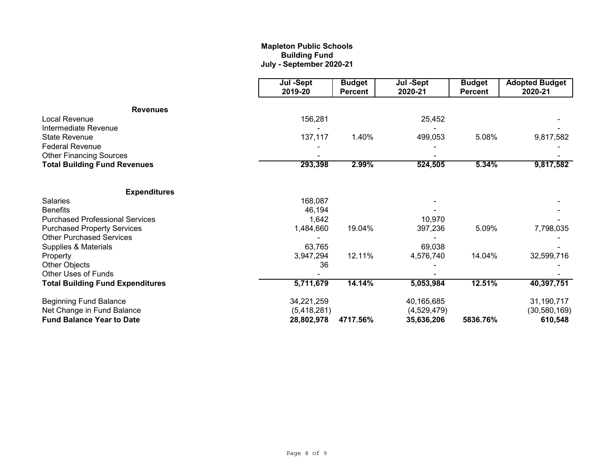# **Mapleton Public Schools Building Fund July - September 2020-21**

|                                         | Jul -Sept<br>2019-20 | <b>Budget</b><br><b>Percent</b> | Jul -Sept<br>2020-21 | <b>Budget</b><br><b>Percent</b> | <b>Adopted Budget</b><br>2020-21 |
|-----------------------------------------|----------------------|---------------------------------|----------------------|---------------------------------|----------------------------------|
| <b>Revenues</b>                         |                      |                                 |                      |                                 |                                  |
| Local Revenue                           | 156,281              |                                 | 25,452               |                                 |                                  |
| Intermediate Revenue                    |                      |                                 |                      |                                 |                                  |
| <b>State Revenue</b>                    | 137,117              | 1.40%                           | 499,053              | 5.08%                           | 9,817,582                        |
| <b>Federal Revenue</b>                  |                      |                                 |                      |                                 |                                  |
| <b>Other Financing Sources</b>          |                      |                                 |                      |                                 |                                  |
| <b>Total Building Fund Revenues</b>     | 293,398              | 2.99%                           | 524,505              | 5.34%                           | 9,817,582                        |
| <b>Expenditures</b>                     |                      |                                 |                      |                                 |                                  |
| <b>Salaries</b>                         | 168,087              |                                 |                      |                                 |                                  |
| <b>Benefits</b>                         | 46,194               |                                 |                      |                                 |                                  |
| <b>Purchased Professional Services</b>  | 1,642                |                                 | 10,970               |                                 |                                  |
| <b>Purchased Property Services</b>      | 1,484,660            | 19.04%                          | 397,236              | 5.09%                           | 7,798,035                        |
| <b>Other Purchased Services</b>         |                      |                                 |                      |                                 |                                  |
| Supplies & Materials                    | 63,765               |                                 | 69,038               |                                 |                                  |
| Property                                | 3,947,294            | 12.11%                          | 4,576,740            | 14.04%                          | 32,599,716                       |
| Other Objects                           | 36                   |                                 |                      |                                 |                                  |
| <b>Other Uses of Funds</b>              |                      |                                 |                      |                                 |                                  |
| <b>Total Building Fund Expenditures</b> | 5,711,679            | 14.14%                          | 5,053,984            | 12.51%                          | 40,397,751                       |
| <b>Beginning Fund Balance</b>           | 34,221,259           |                                 | 40,165,685           |                                 | 31,190,717                       |
| Net Change in Fund Balance              | (5,418,281)          |                                 | (4,529,479)          |                                 | (30, 580, 169)                   |
| <b>Fund Balance Year to Date</b>        | 28,802,978           | 4717.56%                        | 35,636,206           | 5836.76%                        | 610,548                          |